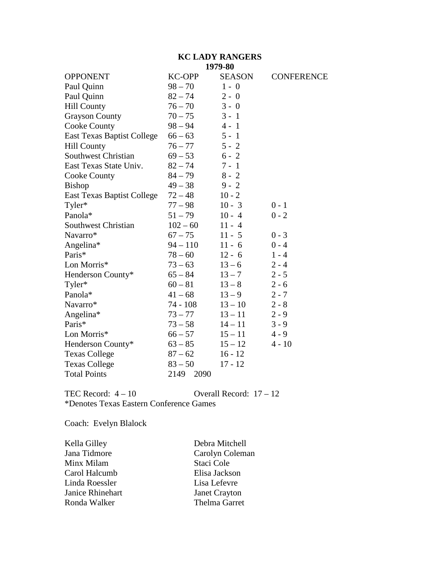### **KC LADY RANGERS 1979-80**

|                                   |               | 1 <i>) 1 )</i> -ov |                   |
|-----------------------------------|---------------|--------------------|-------------------|
| <b>OPPONENT</b>                   | <b>KC-OPP</b> | <b>SEASON</b>      | <b>CONFERENCE</b> |
| Paul Quinn                        | $98 - 70$     | $1 - 0$            |                   |
| Paul Quinn                        | $82 - 74$     | $2 - 0$            |                   |
| <b>Hill County</b>                | $76 - 70$     | $3 - 0$            |                   |
| <b>Grayson County</b>             | $70 - 75$     | $3 - 1$            |                   |
| <b>Cooke County</b>               | $98 - 94$     | $4 - 1$            |                   |
| <b>East Texas Baptist College</b> | $66 - 63$     | $5 - 1$            |                   |
| <b>Hill County</b>                | $76 - 77$     | $5 - 2$            |                   |
| <b>Southwest Christian</b>        | $69 - 53$     | $6 - 2$            |                   |
| East Texas State Univ.            | $82 - 74$     | $7 - 1$            |                   |
| <b>Cooke County</b>               | $84 - 79$     | $8 - 2$            |                   |
| <b>Bishop</b>                     | $49 - 38$     | $9 - 2$            |                   |
| <b>East Texas Baptist College</b> | $72 - 48$     | $10 - 2$           |                   |
| Tyler*                            | $77 - 98$     | $10 - 3$           | $0 - 1$           |
| Panola*                           | $51 - 79$     | $10 - 4$           | $0 - 2$           |
| Southwest Christian               | $102 - 60$    | $11 - 4$           |                   |
| Navarro*                          | $67 - 75$     | $11 - 5$           | $0 - 3$           |
| Angelina*                         | $94 - 110$    | $11 - 6$           | $0 - 4$           |
| Paris*                            | $78 - 60$     | $12 - 6$           | $1 - 4$           |
| Lon Morris*                       | $73 - 63$     | $13 - 6$           | $2 - 4$           |
| Henderson County*                 | $65 - 84$     | $13 - 7$           | $2 - 5$           |
| Tyler*                            | $60 - 81$     | $13 - 8$           | $2 - 6$           |
| Panola*                           | $41 - 68$     | $13 - 9$           | $2 - 7$           |
| Navarro*                          | $74 - 108$    | $13 - 10$          | $2 - 8$           |
| Angelina*                         | $73 - 77$     | $13 - 11$          | $2 - 9$           |
| Paris*                            | $73 - 58$     | $14 - 11$          | $3 - 9$           |
| Lon Morris*                       | $66 - 57$     | $15 - 11$          | $4 - 9$           |
| Henderson County*                 | $63 - 85$     | $15 - 12$          | $4 - 10$          |
| <b>Texas College</b>              | $87 - 62$     | $16 - 12$          |                   |
| <b>Texas College</b>              | $83 - 50$     | $17 - 12$          |                   |
| <b>Total Points</b>               | 2149<br>2090  |                    |                   |
|                                   |               |                    |                   |

TEC Record:  $4 - 10$  Overall Record:  $17 - 12$ \*Denotes Texas Eastern Conference Games

Coach: Evelyn Blalock

| Debra Mitchell       |
|----------------------|
| Carolyn Coleman      |
| Staci Cole           |
| Elisa Jackson        |
| Lisa Lefevre         |
| <b>Janet Crayton</b> |
| <b>Thelma Garret</b> |
|                      |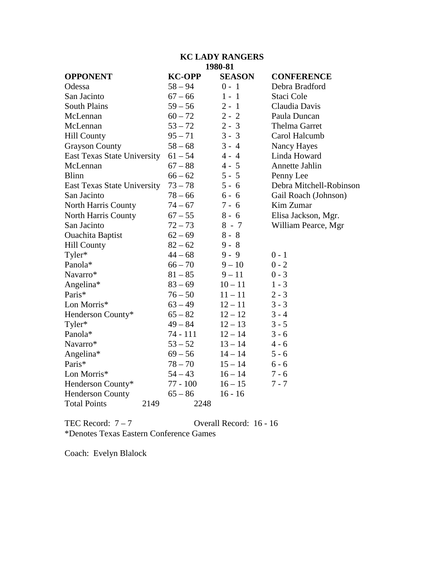# **KC LADY RANGERS 1980-81**

| <b>OPPONENT</b>                    | <b>KC-OPP</b> | <b>SEASON</b> | <b>CONFERENCE</b>       |
|------------------------------------|---------------|---------------|-------------------------|
| Odessa                             | $58 - 94$     | $0 - 1$       | Debra Bradford          |
| San Jacinto                        | $67 - 66$     | $1 - 1$       | Staci Cole              |
| <b>South Plains</b>                | $59 - 56$     | $2 - 1$       | Claudia Davis           |
| McLennan                           | $60 - 72$     | $2 - 2$       | Paula Duncan            |
| McLennan                           | $53 - 72$     | $2 - 3$       | <b>Thelma Garret</b>    |
| <b>Hill County</b>                 | $95 - 71$     | $3 - 3$       | Carol Halcumb           |
| <b>Grayson County</b>              | $58 - 68$     | $3 - 4$       | Nancy Hayes             |
| <b>East Texas State University</b> | $61 - 54$     | $4 - 4$       | Linda Howard            |
| McLennan                           | $67 - 88$     | $4 - 5$       | Annette Jahlin          |
| <b>Blinn</b>                       | $66 - 62$     | $5 - 5$       | Penny Lee               |
| East Texas State University        | $73 - 78$     | $5 - 6$       | Debra Mitchell-Robinson |
| San Jacinto                        | $78 - 66$     | $6 - 6$       | Gail Roach (Johnson)    |
| North Harris County                | $74 - 67$     | $7 - 6$       | Kim Zumar               |
| <b>North Harris County</b>         | $67 - 55$     | $8 - 6$       | Elisa Jackson, Mgr.     |
| San Jacinto                        | $72 - 73$     | $8 - 7$       | William Pearce, Mgr     |
| <b>Ouachita Baptist</b>            | $62 - 69$     | $8 - 8$       |                         |
| <b>Hill County</b>                 | $82 - 62$     | $9 - 8$       |                         |
| Tyler*                             | $44 - 68$     | $9 - 9$       | $0 - 1$                 |
| Panola*                            | $66 - 70$     | $9 - 10$      | $0 - 2$                 |
| Navarro*                           | $81 - 85$     | $9 - 11$      | $0 - 3$                 |
| Angelina*                          | $83 - 69$     | $10 - 11$     | $1 - 3$                 |
| Paris*                             | $76 - 50$     | $11 - 11$     | $2 - 3$                 |
| Lon Morris*                        | $63 - 49$     | $12 - 11$     | $3 - 3$                 |
| Henderson County*                  | $65 - 82$     | $12 - 12$     | $3 - 4$                 |
| Tyler*                             | $49 - 84$     | $12 - 13$     | $3 - 5$                 |
| Panola*                            | 74 - 111      | $12 - 14$     | $3 - 6$                 |
| Navarro*                           | $53 - 52$     | $13 - 14$     | $4 - 6$                 |
| Angelina*                          | $69 - 56$     | $14 - 14$     | $5 - 6$                 |
| Paris*                             | $78 - 70$     | $15 - 14$     | $6 - 6$                 |
| Lon Morris*                        | $54 - 43$     | $16 - 14$     | $7 - 6$                 |
| Henderson County*                  | $77 - 100$    | $16 - 15$     | $7 - 7$                 |
| <b>Henderson County</b>            | $65 - 86$     | $16 - 16$     |                         |
| <b>Total Points</b><br>2149        | 2248          |               |                         |

TEC Record:  $7 - 7$  Overall Record: 16 - 16 \*Denotes Texas Eastern Conference Games

Coach: Evelyn Blalock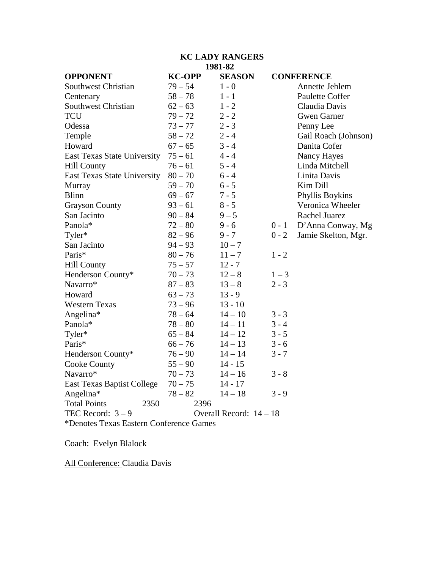### **KC LADY RANGERS 1981-82**

| <b>OPPONENT</b>                         | <b>KC-OPP</b> | <b>SEASON</b>           |         | <b>CONFERENCE</b>    |
|-----------------------------------------|---------------|-------------------------|---------|----------------------|
| Southwest Christian                     | $79 - 54$     | $1 - 0$                 |         | Annette Jehlem       |
| Centenary                               | $58 - 78$     | $1 - 1$                 |         | Paulette Coffer      |
| Southwest Christian                     | $62 - 63$     | $1 - 2$                 |         | Claudia Davis        |
| TCU                                     | $79 - 72$     | $2 - 2$                 |         | <b>Gwen Garner</b>   |
| Odessa                                  | $73 - 77$     | $2 - 3$                 |         | Penny Lee            |
| Temple                                  | $58 - 72$     | $2 - 4$                 |         | Gail Roach (Johnson) |
| Howard                                  | $67 - 65$     | $3 - 4$                 |         | Danita Cofer         |
| East Texas State University             | $75 - 61$     | $4 - 4$                 |         | Nancy Hayes          |
| <b>Hill County</b>                      | $76 - 61$     | $5 - 4$                 |         | Linda Mitchell       |
| East Texas State University             | $80 - 70$     | $6 - 4$                 |         | Linita Davis         |
| Murray                                  | $59 - 70$     | $6 - 5$                 |         | Kim Dill             |
| <b>Blinn</b>                            | $69 - 67$     | $7 - 5$                 |         | Phyllis Boykins      |
| <b>Grayson County</b>                   | $93 - 61$     | $8 - 5$                 |         | Veronica Wheeler     |
| San Jacinto                             | $90 - 84$     | $9 - 5$                 |         | <b>Rachel Juarez</b> |
| Panola*                                 | $72 - 80$     | $9 - 6$                 | $0 - 1$ | D'Anna Conway, Mg    |
| Tyler*                                  | $82 - 96$     | $9 - 7$                 | $0 - 2$ | Jamie Skelton, Mgr.  |
| San Jacinto                             | $94 - 93$     | $10 - 7$                |         |                      |
| Paris*                                  | $80 - 76$     | $11 - 7$                | $1 - 2$ |                      |
| <b>Hill County</b>                      | $75 - 57$     | $12 - 7$                |         |                      |
| Henderson County*                       | $70 - 73$     | $12 - 8$                | $1 - 3$ |                      |
| Navarro*                                | $87 - 83$     | $13 - 8$                | $2 - 3$ |                      |
| Howard                                  | $63 - 73$     | $13 - 9$                |         |                      |
| <b>Western Texas</b>                    | $73 - 96$     | $13 - 10$               |         |                      |
| Angelina*                               | $78 - 64$     | $14 - 10$               | $3 - 3$ |                      |
| Panola*                                 | $78 - 80$     | $14 - 11$               | $3 - 4$ |                      |
| Tyler*                                  | $65 - 84$     | $14 - 12$               | $3 - 5$ |                      |
| Paris*                                  | $66 - 76$     | $14 - 13$               | $3 - 6$ |                      |
| Henderson County*                       | $76 - 90$     | $14 - 14$               | $3 - 7$ |                      |
| Cooke County                            | $55 - 90$     | $14 - 15$               |         |                      |
| Navarro*                                | $70 - 73$     | $14 - 16$               | $3 - 8$ |                      |
| <b>East Texas Baptist College</b>       | $70 - 75$     | $14 - 17$               |         |                      |
| Angelina*                               | $78 - 82$     | $14 - 18$               | $3 - 9$ |                      |
| <b>Total Points</b><br>2350             | 2396          |                         |         |                      |
| TEC Record: $3-9$                       |               | Overall Record: $14-18$ |         |                      |
| *Denotes Texas Eastern Conference Games |               |                         |         |                      |

Coach: Evelyn Blalock

All Conference: Claudia Davis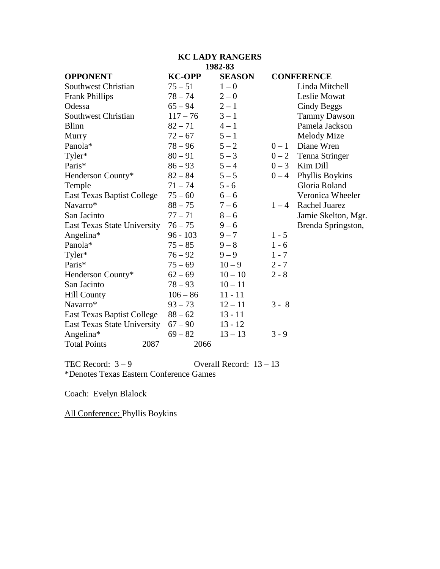### **KC LADY RANGERS 1982-83**

| <b>OPPONENT</b>                   | <b>KC-OPP</b> | <b>SEASON</b> |         | <b>CONFERENCE</b>      |
|-----------------------------------|---------------|---------------|---------|------------------------|
| <b>Southwest Christian</b>        | $75 - 51$     | $1 - 0$       |         | Linda Mitchell         |
| <b>Frank Phillips</b>             | $78 - 74$     | $2 - 0$       |         | Leslie Mowat           |
| Odessa                            | $65 - 94$     | $2 - 1$       |         | Cindy Beggs            |
| <b>Southwest Christian</b>        | $117 - 76$    | $3 - 1$       |         | <b>Tammy Dawson</b>    |
| <b>Blinn</b>                      | $82 - 71$     | $4 - 1$       |         | Pamela Jackson         |
| Murry                             | $72 - 67$     | $5 - 1$       |         | Melody Mize            |
| Panola*                           | $78 - 96$     | $5 - 2$       | $0-1$   | Diane Wren             |
| Tyler*                            | $80 - 91$     | $5 - 3$       |         | $0 - 2$ Tenna Stringer |
| Paris*                            | $86 - 93$     | $5 - 4$       | $0 - 3$ | Kim Dill               |
| Henderson County*                 | $82 - 84$     | $5 - 5$       | $0 - 4$ | Phyllis Boykins        |
| Temple                            | $71 - 74$     | $5 - 6$       |         | Gloria Roland          |
| <b>East Texas Baptist College</b> | $75 - 60$     | $6 - 6$       |         | Veronica Wheeler       |
| Navarro*                          | $88 - 75$     | $7 - 6$       | $1 - 4$ | <b>Rachel Juarez</b>   |
| San Jacinto                       | $77 - 71$     | $8 - 6$       |         | Jamie Skelton, Mgr.    |
| East Texas State University       | $76 - 75$     | $9 - 6$       |         | Brenda Springston,     |
| Angelina*                         | $96 - 103$    | $9 - 7$       | $1 - 5$ |                        |
| Panola*                           | $75 - 85$     | $9 - 8$       | $1 - 6$ |                        |
| Tyler*                            | $76 - 92$     | $9 - 9$       | $1 - 7$ |                        |
| Paris*                            | $75 - 69$     | $10 - 9$      | $2 - 7$ |                        |
| Henderson County*                 | $62 - 69$     | $10 - 10$     | $2 - 8$ |                        |
| San Jacinto                       | $78 - 93$     | $10 - 11$     |         |                        |
| <b>Hill County</b>                | $106 - 86$    | $11 - 11$     |         |                        |
| Navarro*                          | $93 - 73$     | $12 - 11$     | $3 - 8$ |                        |
| <b>East Texas Baptist College</b> | $88 - 62$     | $13 - 11$     |         |                        |
| East Texas State University       | $67 - 90$     | $13 - 12$     |         |                        |
| Angelina*                         | $69 - 82$     | $13 - 13$     | $3 - 9$ |                        |
| <b>Total Points</b><br>2087       |               | 2066          |         |                        |

TEC Record:  $3-9$  Overall Record:  $13-13$ \*Denotes Texas Eastern Conference Games

Coach: Evelyn Blalock

All Conference: Phyllis Boykins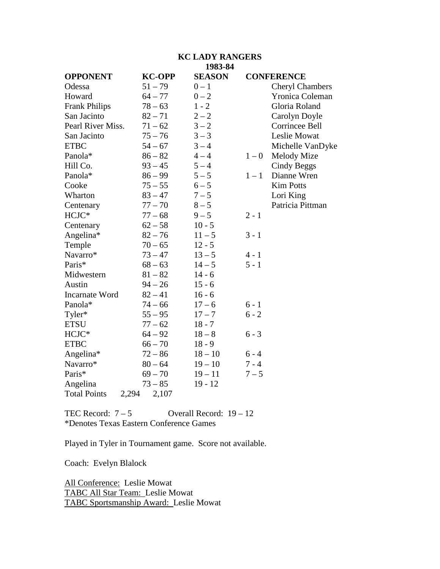#### **KC LADY RANGERS 1983-84**

| <b>OPPONENT</b>              | <b>KC-OPP</b> | <b>SEASON</b> |         | <b>CONFERENCE</b>      |
|------------------------------|---------------|---------------|---------|------------------------|
| Odessa                       | $51 - 79$     | $0 - 1$       |         | <b>Cheryl Chambers</b> |
| Howard                       | $64 - 77$     | $0 - 2$       |         | Yronica Coleman        |
| <b>Frank Philips</b>         | $78 - 63$     | $1 - 2$       |         | Gloria Roland          |
| San Jacinto                  | $82 - 71$     | $2 - 2$       |         | Carolyn Doyle          |
| Pearl River Miss.            | $71 - 62$     | $3 - 2$       |         | Corrincee Bell         |
| San Jacinto                  | $75 - 76$     | $3 - 3$       |         | Leslie Mowat           |
| <b>ETBC</b>                  | $54 - 67$     | $3 - 4$       |         | Michelle VanDyke       |
| Panola*                      | $86 - 82$     | $4 - 4$       | $1 - 0$ | Melody Mize            |
| Hill Co.                     | $93 - 45$     | $5 - 4$       |         | Cindy Beggs            |
| Panola*                      | $86 - 99$     | $5 - 5$       | $1 - 1$ | Dianne Wren            |
| Cooke                        | $75 - 55$     | $6 - 5$       |         | <b>Kim Potts</b>       |
| Wharton                      | $83 - 47$     | $7 - 5$       |         | Lori King              |
| Centenary                    | $77 - 70$     | $8-5$         |         | Patricia Pittman       |
| HCJC*                        | $77 - 68$     | $9 - 5$       | $2 - 1$ |                        |
| Centenary                    | $62 - 58$     | $10 - 5$      |         |                        |
| Angelina*                    | $82 - 76$     | $11 - 5$      | $3 - 1$ |                        |
| Temple                       | $70 - 65$     | $12 - 5$      |         |                        |
| Navarro*                     | $73 - 47$     | $13 - 5$      | $4 - 1$ |                        |
| Paris*                       | $68 - 63$     | $14 - 5$      | $5 - 1$ |                        |
| Midwestern                   | $81 - 82$     | $14 - 6$      |         |                        |
| Austin                       | $94 - 26$     | $15 - 6$      |         |                        |
| <b>Incarnate Word</b>        | $82 - 41$     | $16 - 6$      |         |                        |
| Panola*                      | $74 - 66$     | $17 - 6$      | $6 - 1$ |                        |
| Tyler*                       | $55 - 95$     | $17 - 7$      | $6 - 2$ |                        |
| <b>ETSU</b>                  | $77 - 62$     | $18 - 7$      |         |                        |
| HCJC*                        | $64 - 92$     | $18 - 8$      | $6 - 3$ |                        |
| <b>ETBC</b>                  | $66 - 70$     | $18 - 9$      |         |                        |
| Angelina*                    | $72 - 86$     | $18 - 10$     | $6 - 4$ |                        |
| Navarro*                     | $80 - 64$     | $19 - 10$     | $7 - 4$ |                        |
| Paris*                       | $69 - 70$     | $19 - 11$     | $7 - 5$ |                        |
| Angelina                     | $73 - 85$     | $19 - 12$     |         |                        |
| <b>Total Points</b><br>2,294 | 2,107         |               |         |                        |

TEC Record:  $7-5$  Overall Record:  $19-12$ \*Denotes Texas Eastern Conference Games

Played in Tyler in Tournament game. Score not available.

Coach: Evelyn Blalock

All Conference: Leslie Mowat TABC All Star Team: Leslie Mowat TABC Sportsmanship Award: Leslie Mowat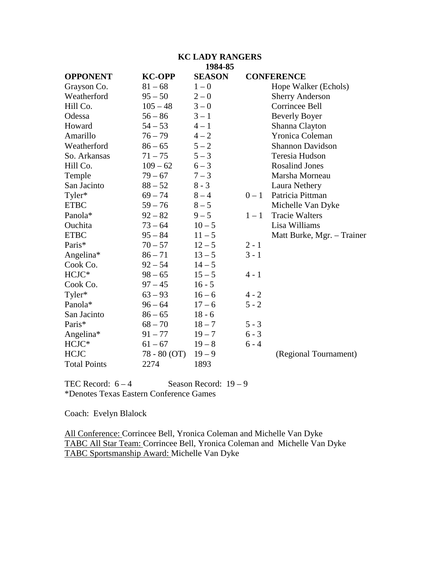#### **KC LADY RANGERS 1984-85**

| <b>OPPONENT</b>     | <b>KC-OPP</b> | <b>SEASON</b> |         | <b>CONFERENCE</b>          |
|---------------------|---------------|---------------|---------|----------------------------|
| Grayson Co.         | $81 - 68$     | $1 - 0$       |         | Hope Walker (Echols)       |
| Weatherford         | $95 - 50$     | $2 - 0$       |         | <b>Sherry Anderson</b>     |
| Hill Co.            | $105 - 48$    | $3 - 0$       |         | Corrincee Bell             |
| Odessa              | $56 - 86$     | $3 - 1$       |         | <b>Beverly Boyer</b>       |
| Howard              | $54 - 53$     | $4 - 1$       |         | Shanna Clayton             |
| Amarillo            | $76 - 79$     | $4 - 2$       |         | <b>Yronica Coleman</b>     |
| Weatherford         | $86 - 65$     | $5 - 2$       |         | <b>Shannon Davidson</b>    |
| So. Arkansas        | $71 - 75$     | $5 - 3$       |         | Teresia Hudson             |
| Hill Co.            | $109 - 62$    | $6 - 3$       |         | <b>Rosalind Jones</b>      |
| Temple              | $79 - 67$     | $7 - 3$       |         | Marsha Morneau             |
| San Jacinto         | $88 - 52$     | $8 - 3$       |         | Laura Nethery              |
| Tyler*              | $69 - 74$     | $8 - 4$       | $0-1$   | Patricia Pittman           |
| <b>ETBC</b>         | $59 - 76$     | $8 - 5$       |         | Michelle Van Dyke          |
| Panola*             | $92 - 82$     | $9 - 5$       | $1 - 1$ | <b>Tracie Walters</b>      |
| Ouchita             | $73 - 64$     | $10 - 5$      |         | Lisa Williams              |
| <b>ETBC</b>         | $95 - 84$     | $11 - 5$      |         | Matt Burke, Mgr. - Trainer |
| Paris*              | $70 - 57$     | $12 - 5$      | $2 - 1$ |                            |
| Angelina*           | $86 - 71$     | $13 - 5$      | $3 - 1$ |                            |
| Cook Co.            | $92 - 54$     | $14 - 5$      |         |                            |
| HCJC*               | $98 - 65$     | $15 - 5$      | $4 - 1$ |                            |
| Cook Co.            | $97 - 45$     | $16 - 5$      |         |                            |
| Tyler*              | $63 - 93$     | $16 - 6$      | $4 - 2$ |                            |
| Panola*             | $96 - 64$     | $17 - 6$      | $5 - 2$ |                            |
| San Jacinto         | $86 - 65$     | $18 - 6$      |         |                            |
| Paris*              | $68 - 70$     | $18 - 7$      | $5 - 3$ |                            |
| Angelina*           | $91 - 77$     | $19 - 7$      | $6 - 3$ |                            |
| HCJC*               | $61 - 67$     | $19 - 8$      | $6 - 4$ |                            |
| <b>HCJC</b>         | 78 - 80 (OT)  | $19 - 9$      |         | (Regional Tournament)      |
| <b>Total Points</b> | 2274          | 1893          |         |                            |

TEC Record:  $6 - 4$  Season Record:  $19 - 9$ \*Denotes Texas Eastern Conference Games

Coach: Evelyn Blalock

All Conference: Corrincee Bell, Yronica Coleman and Michelle Van Dyke TABC All Star Team: Corrincee Bell, Yronica Coleman and Michelle Van Dyke TABC Sportsmanship Award: Michelle Van Dyke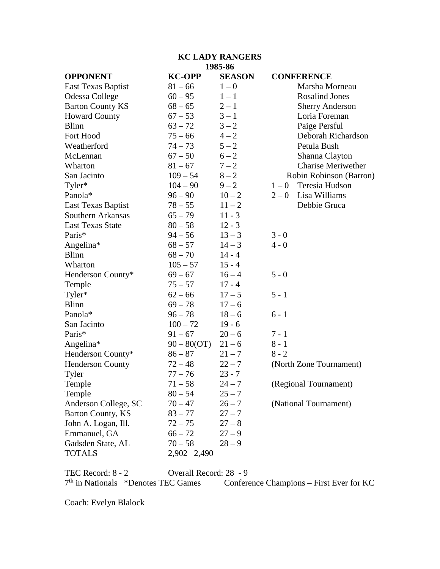# **KC LADY RANGERS 1985-86**

| <b>OPPONENT</b>         | <b>KC-OPP</b> | <b>SEASON</b> | <b>CONFERENCE</b>         |
|-------------------------|---------------|---------------|---------------------------|
| East Texas Baptist      | $81 - 66$     | $1-0$         | Marsha Morneau            |
| Odessa College          | $60 - 95$     | $1 - 1$       | <b>Rosalind Jones</b>     |
| <b>Barton County KS</b> | $68 - 65$     | $2 - 1$       | <b>Sherry Anderson</b>    |
| <b>Howard County</b>    | $67 - 53$     | $3 - 1$       | Loria Foreman             |
| <b>Blinn</b>            | $63 - 72$     | $3 - 2$       | Paige Persful             |
| Fort Hood               | $75 - 66$     | $4 - 2$       | Deborah Richardson        |
| Weatherford             | $74 - 73$     | $5 - 2$       | Petula Bush               |
| McLennan                | $67 - 50$     | $6 - 2$       | Shanna Clayton            |
| Wharton                 | $81 - 67$     | $7 - 2$       | <b>Charise Meriwether</b> |
| San Jacinto             | $109 - 54$    | $8 - 2$       | Robin Robinson (Barron)   |
| Tyler*                  | $104 - 90$    | $9 - 2$       | Teresia Hudson<br>$1-0$   |
| Panola*                 | $96 - 90$     | $10 - 2$      | Lisa Williams<br>$2-0$    |
| East Texas Baptist      | $78 - 55$     | $11 - 2$      | Debbie Gruca              |
| Southern Arkansas       | $65 - 79$     | $11 - 3$      |                           |
| <b>East Texas State</b> | $80 - 58$     | $12 - 3$      |                           |
| Paris*                  | $94 - 56$     | $13 - 3$      | $3 - 0$                   |
| Angelina*               | $68 - 57$     | $14 - 3$      | $4 - 0$                   |
| <b>Blinn</b>            | $68 - 70$     | $14 - 4$      |                           |
| Wharton                 | $105 - 57$    | $15 - 4$      |                           |
| Henderson County*       | $69 - 67$     | $16 - 4$      | $5 - 0$                   |
| Temple                  | $75 - 57$     | $17 - 4$      |                           |
| Tyler*                  | $62 - 66$     | $17 - 5$      | $5 - 1$                   |
| <b>Blinn</b>            | $69 - 78$     | $17 - 6$      |                           |
| Panola*                 | $96 - 78$     | $18 - 6$      | $6 - 1$                   |
| San Jacinto             | $100 - 72$    | $19 - 6$      |                           |
| Paris*                  | $91 - 67$     | $20 - 6$      | $7 - 1$                   |
| Angelina*               | $90 - 80(OT)$ | $21 - 6$      | $8 - 1$                   |
| Henderson County*       | $86 - 87$     | $21 - 7$      | $8 - 2$                   |
| <b>Henderson County</b> | $72 - 48$     | $22 - 7$      | (North Zone Tournament)   |
| Tyler                   | $77 - 76$     | $23 - 7$      |                           |
| Temple                  | $71 - 58$     | $24 - 7$      | (Regional Tournament)     |
| Temple                  | $80 - 54$     | $25 - 7$      |                           |
| Anderson College, SC    | $70 - 47$     | $26 - 7$      | (National Tournament)     |
| Barton County, KS       | $83 - 77$     | $27 - 7$      |                           |
| John A. Logan, Ill.     | $72 - 75$     | $27 - 8$      |                           |
| Emmanuel, GA            | $66 - 72$     | $27 - 9$      |                           |
| Gadsden State, AL       | $70 - 58$     | $28 - 9$      |                           |
| <b>TOTALS</b>           | 2,902 2,490   |               |                           |

TEC Record: 8 - 2 Overall Record: 28 - 9 7<sup>th</sup> in Nationals \*Denotes TEC Games Conference Champions – First Ever for KC

Coach: Evelyn Blalock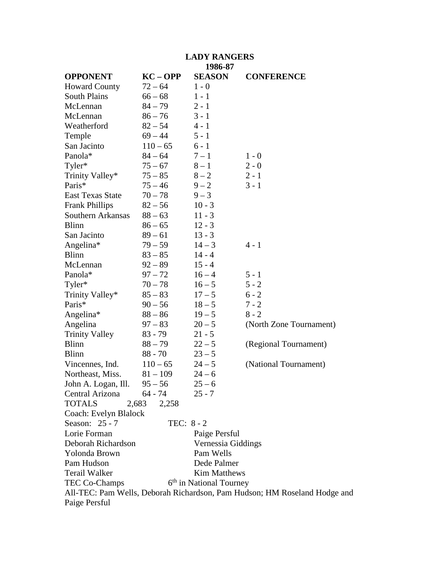| <b>LADY RANGERS</b>         |              |                                     |                                                                           |  |  |
|-----------------------------|--------------|-------------------------------------|---------------------------------------------------------------------------|--|--|
|                             |              | 1986-87                             |                                                                           |  |  |
| <b>OPPONENT</b>             | $KC - OPP$   | <b>SEASON</b>                       | <b>CONFERENCE</b>                                                         |  |  |
| <b>Howard County</b>        | $72 - 64$    | $1 - 0$                             |                                                                           |  |  |
| <b>South Plains</b>         | $66 - 68$    | $1 - 1$                             |                                                                           |  |  |
| McLennan                    | $84 - 79$    | $2 - 1$                             |                                                                           |  |  |
| McLennan                    | $86 - 76$    | $3 - 1$                             |                                                                           |  |  |
| Weatherford                 | $82 - 54$    | $4 - 1$                             |                                                                           |  |  |
| Temple                      | $69 - 44$    | $5 - 1$                             |                                                                           |  |  |
| San Jacinto                 | $110 - 65$   | $6 - 1$                             |                                                                           |  |  |
| Panola*                     | $84 - 64$    | $7 - 1$                             | $1 - 0$                                                                   |  |  |
| Tyler*                      | $75 - 67$    | $8-1$                               | $2 - 0$                                                                   |  |  |
| Trinity Valley*             | $75 - 85$    | $8 - 2$                             | $2 - 1$                                                                   |  |  |
| Paris*                      | $75 - 46$    | $9 - 2$                             | $3 - 1$                                                                   |  |  |
| <b>East Texas State</b>     | $70 - 78$    | $9 - 3$                             |                                                                           |  |  |
| <b>Frank Phillips</b>       | $82 - 56$    | $10 - 3$                            |                                                                           |  |  |
| Southern Arkansas           | $88 - 63$    | $11 - 3$                            |                                                                           |  |  |
| <b>Blinn</b>                | $86 - 65$    | $12 - 3$                            |                                                                           |  |  |
| San Jacinto                 | $89 - 61$    | $13 - 3$                            |                                                                           |  |  |
| Angelina*                   | $79 - 59$    | $14 - 3$                            | $4 - 1$                                                                   |  |  |
| <b>Blinn</b>                | $83 - 85$    | $14 - 4$                            |                                                                           |  |  |
| McLennan                    | $92 - 89$    | $15 - 4$                            |                                                                           |  |  |
| Panola*                     | $97 - 72$    | $16 - 4$                            | $5 - 1$                                                                   |  |  |
| Tyler*                      | $70 - 78$    | $16 - 5$                            | $5 - 2$                                                                   |  |  |
| Trinity Valley*             | $85 - 83$    | $17 - 5$                            | $6 - 2$                                                                   |  |  |
| Paris*                      | $90 - 56$    | $18 - 5$                            | $7 - 2$                                                                   |  |  |
| Angelina*                   | $88 - 86$    | $19 - 5$                            | $8 - 2$                                                                   |  |  |
| Angelina                    | $97 - 83$    | $20 - 5$                            | (North Zone Tournament)                                                   |  |  |
| <b>Trinity Valley</b>       | $83 - 79$    | $21 - 5$                            |                                                                           |  |  |
| <b>Blinn</b>                | $88 - 79$    | $22 - 5$                            | (Regional Tournament)                                                     |  |  |
| <b>Blinn</b>                | $88 - 70$    | $23 - 5$                            |                                                                           |  |  |
| Vincennes, Ind.             | $110 - 65$   | $24 - 5$                            | (National Tournament)                                                     |  |  |
| Northeast, Miss. $81-109$   |              | $24 - 6$                            |                                                                           |  |  |
| John A. Logan, Ill. $95-56$ |              | $25 - 6$                            |                                                                           |  |  |
| Central Arizona             | 64 - 74      | $25 - 7$                            |                                                                           |  |  |
| <b>TOTALS</b><br>2,683      | 2,258        |                                     |                                                                           |  |  |
| Coach: Evelyn Blalock       |              |                                     |                                                                           |  |  |
| Season: 25 - 7              | TEC: $8 - 2$ |                                     |                                                                           |  |  |
| Lorie Forman                |              | Paige Persful                       |                                                                           |  |  |
| Deborah Richardson          |              | Vernessia Giddings                  |                                                                           |  |  |
| Yolonda Brown               |              | Pam Wells                           |                                                                           |  |  |
| Pam Hudson                  |              | Dede Palmer                         |                                                                           |  |  |
| <b>Terail Walker</b>        |              | <b>Kim Matthews</b>                 |                                                                           |  |  |
| TEC Co-Champs               |              | 6 <sup>th</sup> in National Tourney |                                                                           |  |  |
|                             |              |                                     | All-TEC: Pam Wells, Deborah Richardson, Pam Hudson; HM Roseland Hodge and |  |  |
| Paige Persful               |              |                                     |                                                                           |  |  |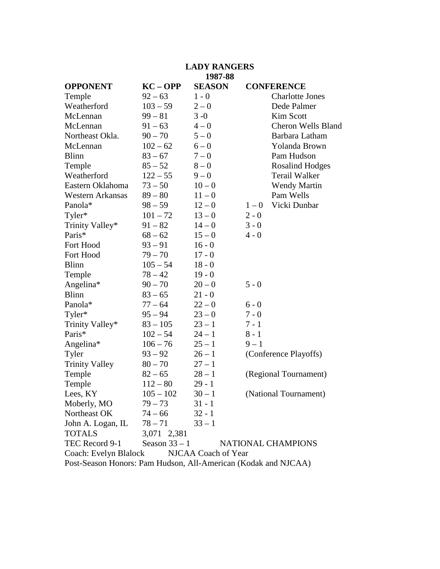# **LADY RANGERS**

#### **1987-88**

|                                         |                                                                                                                                                                                                                                                                                               |                                                                                                                                                                                                                                                              | <b>CONFERENCE</b>                                                                                                                                       |  |
|-----------------------------------------|-----------------------------------------------------------------------------------------------------------------------------------------------------------------------------------------------------------------------------------------------------------------------------------------------|--------------------------------------------------------------------------------------------------------------------------------------------------------------------------------------------------------------------------------------------------------------|---------------------------------------------------------------------------------------------------------------------------------------------------------|--|
|                                         |                                                                                                                                                                                                                                                                                               |                                                                                                                                                                                                                                                              | <b>Charlotte Jones</b>                                                                                                                                  |  |
| $103 - 59$                              | $2 - 0$                                                                                                                                                                                                                                                                                       |                                                                                                                                                                                                                                                              | Dede Palmer                                                                                                                                             |  |
| $99 - 81$                               | $3 - 0$                                                                                                                                                                                                                                                                                       |                                                                                                                                                                                                                                                              | Kim Scott                                                                                                                                               |  |
| $91 - 63$                               | $4 - 0$                                                                                                                                                                                                                                                                                       |                                                                                                                                                                                                                                                              | <b>Cheron Wells Bland</b>                                                                                                                               |  |
| $90 - 70$                               | $5 - 0$                                                                                                                                                                                                                                                                                       |                                                                                                                                                                                                                                                              | Barbara Latham                                                                                                                                          |  |
| $102 - 62$                              | $6 - 0$                                                                                                                                                                                                                                                                                       |                                                                                                                                                                                                                                                              | Yolanda Brown                                                                                                                                           |  |
| $83 - 67$                               | $7 - 0$                                                                                                                                                                                                                                                                                       |                                                                                                                                                                                                                                                              | Pam Hudson                                                                                                                                              |  |
| $85 - 52$                               | $8-0$                                                                                                                                                                                                                                                                                         |                                                                                                                                                                                                                                                              | <b>Rosalind Hodges</b>                                                                                                                                  |  |
| $122 - 55$                              | $9 - 0$                                                                                                                                                                                                                                                                                       |                                                                                                                                                                                                                                                              | Terail Walker                                                                                                                                           |  |
| $73 - 50$                               | $10 - 0$                                                                                                                                                                                                                                                                                      |                                                                                                                                                                                                                                                              | <b>Wendy Martin</b>                                                                                                                                     |  |
| $89 - 80$                               | $11 - 0$                                                                                                                                                                                                                                                                                      |                                                                                                                                                                                                                                                              | Pam Wells                                                                                                                                               |  |
| $98 - 59$                               | $12 - 0$                                                                                                                                                                                                                                                                                      | $1-0$                                                                                                                                                                                                                                                        | Vicki Dunbar                                                                                                                                            |  |
| $101 - 72$                              | $13 - 0$                                                                                                                                                                                                                                                                                      | $2 - 0$                                                                                                                                                                                                                                                      |                                                                                                                                                         |  |
| $91 - 82$                               |                                                                                                                                                                                                                                                                                               | $3 - 0$                                                                                                                                                                                                                                                      |                                                                                                                                                         |  |
|                                         |                                                                                                                                                                                                                                                                                               | $4 - 0$                                                                                                                                                                                                                                                      |                                                                                                                                                         |  |
| $93 - 91$                               | $16 - 0$                                                                                                                                                                                                                                                                                      |                                                                                                                                                                                                                                                              |                                                                                                                                                         |  |
| $79 - 70$                               |                                                                                                                                                                                                                                                                                               |                                                                                                                                                                                                                                                              |                                                                                                                                                         |  |
|                                         |                                                                                                                                                                                                                                                                                               |                                                                                                                                                                                                                                                              |                                                                                                                                                         |  |
| $78 - 42$                               | $19 - 0$                                                                                                                                                                                                                                                                                      |                                                                                                                                                                                                                                                              |                                                                                                                                                         |  |
|                                         |                                                                                                                                                                                                                                                                                               | $5 - 0$                                                                                                                                                                                                                                                      |                                                                                                                                                         |  |
|                                         |                                                                                                                                                                                                                                                                                               |                                                                                                                                                                                                                                                              |                                                                                                                                                         |  |
|                                         |                                                                                                                                                                                                                                                                                               | $6 - 0$                                                                                                                                                                                                                                                      |                                                                                                                                                         |  |
|                                         |                                                                                                                                                                                                                                                                                               |                                                                                                                                                                                                                                                              |                                                                                                                                                         |  |
|                                         |                                                                                                                                                                                                                                                                                               |                                                                                                                                                                                                                                                              |                                                                                                                                                         |  |
|                                         |                                                                                                                                                                                                                                                                                               |                                                                                                                                                                                                                                                              |                                                                                                                                                         |  |
|                                         |                                                                                                                                                                                                                                                                                               |                                                                                                                                                                                                                                                              |                                                                                                                                                         |  |
|                                         |                                                                                                                                                                                                                                                                                               |                                                                                                                                                                                                                                                              | (Conference Playoffs)                                                                                                                                   |  |
|                                         |                                                                                                                                                                                                                                                                                               |                                                                                                                                                                                                                                                              |                                                                                                                                                         |  |
|                                         |                                                                                                                                                                                                                                                                                               |                                                                                                                                                                                                                                                              | (Regional Tournament)                                                                                                                                   |  |
|                                         |                                                                                                                                                                                                                                                                                               |                                                                                                                                                                                                                                                              |                                                                                                                                                         |  |
|                                         |                                                                                                                                                                                                                                                                                               |                                                                                                                                                                                                                                                              | (National Tournament)                                                                                                                                   |  |
|                                         |                                                                                                                                                                                                                                                                                               |                                                                                                                                                                                                                                                              |                                                                                                                                                         |  |
|                                         |                                                                                                                                                                                                                                                                                               |                                                                                                                                                                                                                                                              |                                                                                                                                                         |  |
|                                         |                                                                                                                                                                                                                                                                                               |                                                                                                                                                                                                                                                              |                                                                                                                                                         |  |
|                                         |                                                                                                                                                                                                                                                                                               |                                                                                                                                                                                                                                                              |                                                                                                                                                         |  |
|                                         |                                                                                                                                                                                                                                                                                               |                                                                                                                                                                                                                                                              |                                                                                                                                                         |  |
| TEC Record 9-1<br>Coach: Evelyn Blalock |                                                                                                                                                                                                                                                                                               |                                                                                                                                                                                                                                                              |                                                                                                                                                         |  |
|                                         |                                                                                                                                                                                                                                                                                               |                                                                                                                                                                                                                                                              |                                                                                                                                                         |  |
|                                         | $KC - OPP$<br>$92 - 63$<br>$68 - 62$<br>$105 - 54$<br>$90 - 70$<br>$83 - 65$<br>$77 - 64$<br>$95 - 94$<br>$83 - 105$<br>$102 - 54$<br>$106 - 76$<br>$93 - 92$<br>$80 - 70$<br>$82 - 65$<br>$112 - 80$<br>$105 - 102$<br>$79 - 73$<br>$74 - 66$<br>$78 - 71$<br>3,071 2,381<br>Season $33 - 1$ | <b>SEASON</b><br>$1 - 0$<br>$14 - 0$<br>$15 - 0$<br>$17 - 0$<br>$18 - 0$<br>$20 - 0$<br>$21 - 0$<br>$22 - 0$<br>$23 - 0$<br>$23 - 1$<br>$24 - 1$<br>$25 - 1$<br>$26 - 1$<br>$27 - 1$<br>$28 - 1$<br>$29 - 1$<br>$30 - 1$<br>$31 - 1$<br>$32 - 1$<br>$33 - 1$ | $7 - 0$<br>$7 - 1$<br>$8 - 1$<br>$9 - 1$<br>NATIONAL CHAMPIONS<br>NJCAA Coach of Year<br>Post-Season Honors: Pam Hudson, All-American (Kodak and NJCAA) |  |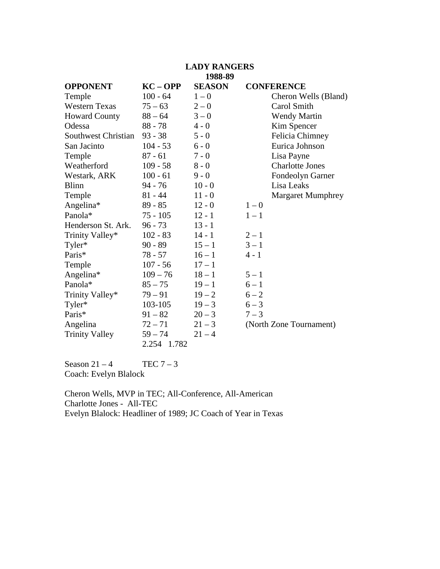# **LADY RANGERS**

### **1988-89**

| <b>OPPONENT</b>            | $KC - OPP$  | <b>SEASON</b> |         | <b>CONFERENCE</b>        |
|----------------------------|-------------|---------------|---------|--------------------------|
| Temple                     | $100 - 64$  | $1 - 0$       |         | Cheron Wells (Bland)     |
| <b>Western Texas</b>       | $75 - 63$   | $2 - 0$       |         | Carol Smith              |
| <b>Howard County</b>       | $88 - 64$   | $3 - 0$       |         | <b>Wendy Martin</b>      |
| Odessa                     | $88 - 78$   | $4 - 0$       |         | Kim Spencer              |
| <b>Southwest Christian</b> | $93 - 38$   | $5 - 0$       |         | Felicia Chimney          |
| San Jacinto                | $104 - 53$  | $6 - 0$       |         | Eurica Johnson           |
| Temple                     | $87 - 61$   | $7 - 0$       |         | Lisa Payne               |
| Weatherford                | $109 - 58$  | $8 - 0$       |         | <b>Charlotte Jones</b>   |
| Westark, ARK               | $100 - 61$  | $9 - 0$       |         | Fondeolyn Garner         |
| <b>Blinn</b>               | $94 - 76$   | $10 - 0$      |         | Lisa Leaks               |
| Temple                     | $81 - 44$   | $11 - 0$      |         | <b>Margaret Mumphrey</b> |
| Angelina*                  | $89 - 85$   | $12 - 0$      | $1-0$   |                          |
| Panola*                    | $75 - 105$  | $12 - 1$      | $1 - 1$ |                          |
| Henderson St. Ark.         | $96 - 73$   | $13 - 1$      |         |                          |
| Trinity Valley*            | $102 - 83$  | $14 - 1$      | $2 - 1$ |                          |
| Tyler*                     | $90 - 89$   | $15 - 1$      | $3 - 1$ |                          |
| Paris*                     | $78 - 57$   | $16 - 1$      | $4 - 1$ |                          |
| Temple                     | $107 - 56$  | $17 - 1$      |         |                          |
| Angelina*                  | $109 - 76$  | $18 - 1$      | $5 - 1$ |                          |
| Panola*                    | $85 - 75$   | $19 - 1$      | $6 - 1$ |                          |
| Trinity Valley*            | $79 - 91$   | $19 - 2$      | $6 - 2$ |                          |
| Tyler*                     | 103-105     | $19 - 3$      | $6 - 3$ |                          |
| Paris*                     | $91 - 82$   | $20 - 3$      | $7 - 3$ |                          |
| Angelina                   | $72 - 71$   | $21 - 3$      |         | (North Zone Tournament)  |
| <b>Trinity Valley</b>      | $59 - 74$   | $21 - 4$      |         |                          |
|                            | 2.254 1.782 |               |         |                          |

Season  $21 - 4$  TEC  $7 - 3$ Coach: Evelyn Blalock

Cheron Wells, MVP in TEC; All-Conference, All-American Charlotte Jones - All-TEC Evelyn Blalock: Headliner of 1989; JC Coach of Year in Texas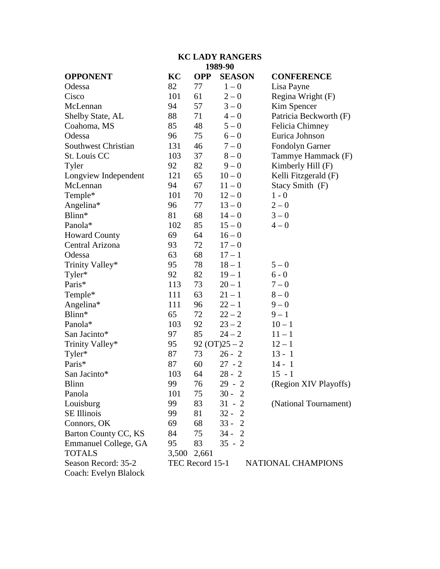### **KC LADY RANGERS 1989-90**

| <b>OPPONENT</b>            | KC    | <b>OPP</b>      | <b>SEASON</b>    | <b>CONFERENCE</b>      |
|----------------------------|-------|-----------------|------------------|------------------------|
| Odessa                     | 82    | 77              | $1-0$            | Lisa Payne             |
| Cisco                      | 101   | 61              | $2 - 0$          | Regina Wright (F)      |
| McLennan                   | 94    | 57              | $3 - 0$          | Kim Spencer            |
| Shelby State, AL           | 88    | 71              | $4 - 0$          | Patricia Beckworth (F) |
| Coahoma, MS                | 85    | 48              | $5 - 0$          | Felicia Chimney        |
| Odessa                     | 96    | 75              | $6 - 0$          | Eurica Johnson         |
| <b>Southwest Christian</b> | 131   | 46              | $7 - 0$          | Fondolyn Garner        |
| St. Louis CC               | 103   | 37              | $8-0$            | Tammye Hammack (F)     |
| Tyler                      | 92    | 82              | $9 - 0$          | Kimberly Hill (F)      |
| Longview Independent       | 121   | 65              | $10 - 0$         | Kelli Fitzgerald (F)   |
| McLennan                   | 94    | 67              | $11 - 0$         | Stacy Smith (F)        |
| Temple*                    | 101   | 70              | $12 - 0$         | $1 - 0$                |
| Angelina*                  | 96    | 77              | $13 - 0$         | $2 - 0$                |
| Blinn*                     | 81    | 68              | $14 - 0$         | $3 - 0$                |
| Panola*                    | 102   | 85              | $15 - 0$         | $4 - 0$                |
| <b>Howard County</b>       | 69    | 64              | $16 - 0$         |                        |
| Central Arizona            | 93    | 72              | $17 - 0$         |                        |
| Odessa                     | 63    | 68              | $17 - 1$         |                        |
| Trinity Valley*            | 95    | 78              | $18 - 1$         | $5 - 0$                |
| Tyler*                     | 92    | 82              | $19 - 1$         | $6 - 0$                |
| Paris*                     | 113   | 73              | $20 - 1$         | $7 - 0$                |
| Temple*                    | 111   | 63              | $21 - 1$         | $8 - 0$                |
| Angelina*                  | 111   | 96              | $22 - 1$         | $9 - 0$                |
| Blinn*                     | 65    | 72              | $22 - 2$         | $9 - 1$                |
| Panola*                    | 103   | 92              | $23 - 2$         | $10 - 1$               |
| San Jacinto*               | 97    | 85              | $24 - 2$         | $11 - 1$               |
| Trinity Valley*            | 95    |                 | $92 (OT) 25 - 2$ | $12 - 1$               |
| Tyler*                     | 87    | 73              | $26 - 2$         | $13 - 1$               |
| Paris*                     | 87    | 60              | $27 - 2$         | $14 - 1$               |
| San Jacinto*               | 103   | 64              | $28 - 2$         | $15 - 1$               |
| <b>Blinn</b>               | 99    | 76              | $29 - 2$         | (Region XIV Playoffs)  |
| Panola                     | 101   | 75              | $30 - 2$         |                        |
| Louisburg                  | 99    | 83              | $31 - 2$         | (National Tournament)  |
| <b>SE Illinois</b>         | 99    | 81              | $32 - 2$         |                        |
| Connors, OK                | 69    | 68              | $33 - 2$         |                        |
| Barton County CC, KS       | 84    | 75              | $34 - 2$         |                        |
| Emmanuel College, GA       | 95    | 83              | $35 - 2$         |                        |
| <b>TOTALS</b>              | 3,500 | 2,661           |                  |                        |
| Season Record: 35-2        |       | TEC Record 15-1 |                  | NATIONAL CHAMPIONS     |
| Coach: Evelyn Blalock      |       |                 |                  |                        |